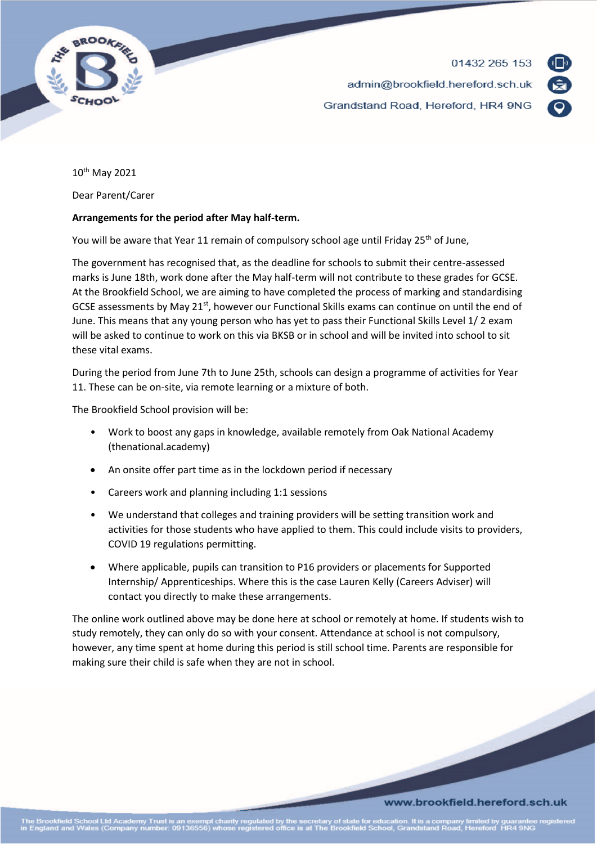



10th May 2021

Dear Parent/Carer

## **Arrangements for the period after May half-term.**

You will be aware that Year 11 remain of compulsory school age until Friday 25<sup>th</sup> of June,

The government has recognised that, as the deadline for schools to submit their centre-assessed marks is June 18th, work done after the May half-term will not contribute to these grades for GCSE. At the Brookfield School, we are aiming to have completed the process of marking and standardising GCSE assessments by May 21<sup>st</sup>, however our Functional Skills exams can continue on until the end of June. This means that any young person who has yet to pass their Functional Skills Level 1/ 2 exam will be asked to continue to work on this via BKSB or in school and will be invited into school to sit these vital exams.

During the period from June 7th to June 25th, schools can design a programme of activities for Year 11. These can be on-site, via remote learning or a mixture of both.

The Brookfield School provision will be:

- Work to boost any gaps in knowledge, available remotely from Oak National Academy (thenational.academy)
- An onsite offer part time as in the lockdown period if necessary
- Careers work and planning including 1:1 sessions
- We understand that colleges and training providers will be setting transition work and activities for those students who have applied to them. This could include visits to providers, COVID 19 regulations permitting.
- Where applicable, pupils can transition to P16 providers or placements for Supported Internship/ Apprenticeships. Where this is the case Lauren Kelly (Careers Adviser) will contact you directly to make these arrangements.

The online work outlined above may be done here at school or remotely at home. If students wish to study remotely, they can only do so with your consent. Attendance at school is not compulsory, however, any time spent at home during this period is still school time. Parents are responsible for making sure their child is safe when they are not in school.

## www.brookfield.hereford.sch.uk